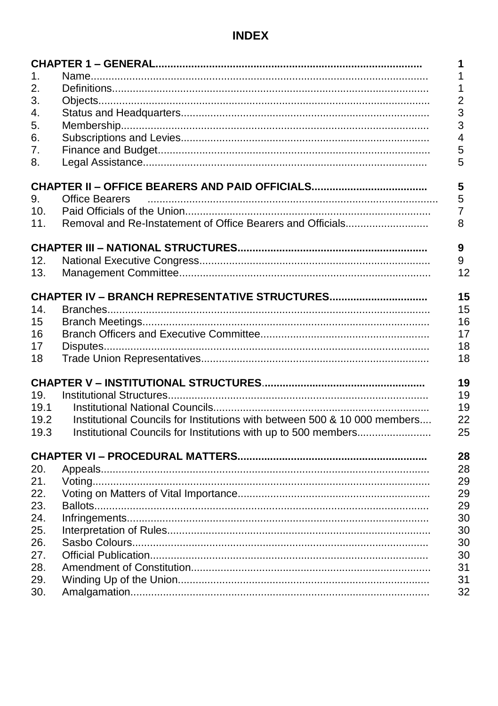# **INDEX**

|      |                                                                           | 1              |
|------|---------------------------------------------------------------------------|----------------|
| 1.   |                                                                           | 1              |
| 2.   |                                                                           | 1              |
| 3.   |                                                                           | $\overline{c}$ |
| 4.   |                                                                           | 3              |
| 5.   |                                                                           | 3              |
| 6.   |                                                                           | 4              |
| 7.   |                                                                           | 5              |
| 8.   |                                                                           | 5              |
|      |                                                                           | 5              |
| 9.   | <b>Office Bearers</b>                                                     | 5              |
| 10.  |                                                                           | 7              |
| 11.  | Removal and Re-Instatement of Office Bearers and Officials                | 8              |
|      |                                                                           | 9              |
| 12.  |                                                                           | 9              |
| 13.  |                                                                           | 12             |
|      |                                                                           |                |
|      |                                                                           | 15             |
| 14.  |                                                                           | 15             |
| 15   |                                                                           | 16             |
| 16   |                                                                           | 17             |
| 17   |                                                                           | 18             |
| 18   |                                                                           | 18             |
|      |                                                                           | 19             |
| 19.  |                                                                           | 19             |
| 19.1 |                                                                           | 19             |
| 19.2 | Institutional Councils for Institutions with between 500 & 10 000 members | 22             |
| 19.3 | Institutional Councils for Institutions with up to 500 members            | 25             |
|      |                                                                           | 28             |
| 20.  |                                                                           | 28             |
| 21.  |                                                                           | 29             |
| 22.  |                                                                           | 29             |
| 23.  |                                                                           | 29             |
| 24.  |                                                                           | 30             |
| 25.  |                                                                           | 30             |
| 26.  |                                                                           | 30             |
| 27.  |                                                                           | 30             |
| 28.  |                                                                           | 31             |
| 29.  |                                                                           | 31             |
| 30.  |                                                                           | 32             |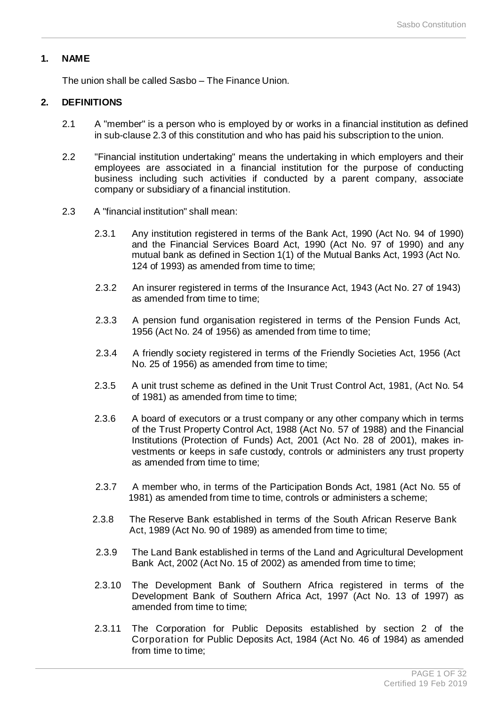# **1. NAME**

The union shall be called Sasbo – The Finance Union.

# **2. DEFINITIONS**

- 2.1 A "member" is a person who is employed by or works in a financial institution as defined in sub-clause 2.3 of this constitution and who has paid his subscription to the union.
- 2.2 "Financial institution undertaking" means the undertaking in which employers and their employees are associated in a financial institution for the purpose of conducting business including such activities if conducted by a parent company, associate company or subsidiary of a financial institution.
- 2.3 A "financial institution" shall mean:
	- 2.3.1 Any institution registered in terms of the Bank Act, 1990 (Act No. 94 of 1990) and the Financial Services Board Act, 1990 (Act No. 97 of 1990) and any mutual bank as defined in Section 1(1) of the Mutual Banks Act, 1993 (Act No. 124 of 1993) as amended from time to time;
	- 2.3.2 An insurer registered in terms of the Insurance Act, 1943 (Act No. 27 of 1943) as amended from time to time;
	- 2.3.3 A pension fund organisation registered in terms of the Pension Funds Act, 1956 (Act No. 24 of 1956) as amended from time to time;
	- 2.3.4 A friendly society registered in terms of the Friendly Societies Act, 1956 (Act No. 25 of 1956) as amended from time to time;
	- 2.3.5 A unit trust scheme as defined in the Unit Trust Control Act, 1981, (Act No. 54 of 1981) as amended from time to time;
	- 2.3.6 A board of executors or a trust company or any other company which in terms of the Trust Property Control Act, 1988 (Act No. 57 of 1988) and the Financial Institutions (Protection of Funds) Act, 2001 (Act No. 28 of 2001), makes investments or keeps in safe custody, controls or administers any trust property as amended from time to time;
	- 2.3.7 A member who, in terms of the Participation Bonds Act, 1981 (Act No. 55 of 1981) as amended from time to time, controls or administers a scheme;
	- 2.3.8 The Reserve Bank established in terms of the South African Reserve Bank Act, 1989 (Act No. 90 of 1989) as amended from time to time:
	- 2.3.9 The Land Bank established in terms of the Land and Agricultural Development Bank Act, 2002 (Act No. 15 of 2002) as amended from time to time;
	- 2.3.10 The Development Bank of Southern Africa registered in terms of the Development Bank of Southern Africa Act, 1997 (Act No. 13 of 1997) as amended from time to time;
	- 2.3.11 The Corporation for Public Deposits established by section 2 of the Corporation for Public Deposits Act, 1984 (Act No. 46 of 1984) as amended from time to time: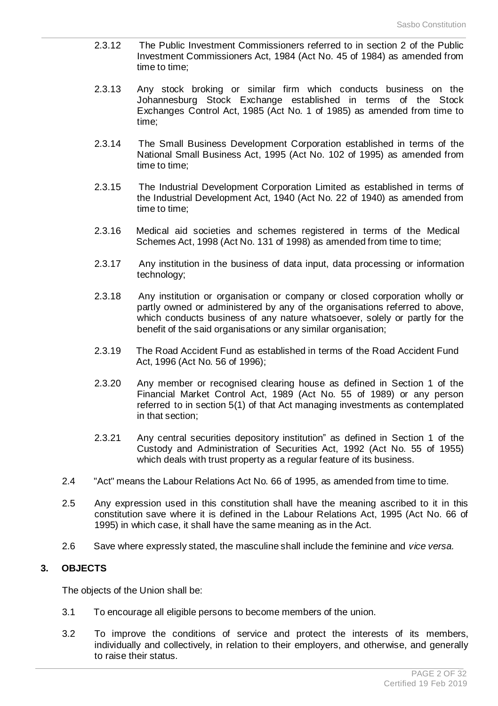- 2.3.12 The Public Investment Commissioners referred to in section 2 of the Public Investment Commissioners Act, 1984 (Act No. 45 of 1984) as amended from time to time;
- 2.3.13 Any stock broking or similar firm which conducts business on the Johannesburg Stock Exchange established in terms of the Stock Exchanges Control Act, 1985 (Act No. 1 of 1985) as amended from time to time;
- 2.3.14 The Small Business Development Corporation established in terms of the National Small Business Act, 1995 (Act No. 102 of 1995) as amended from time to time;
- 2.3.15 The Industrial Development Corporation Limited as established in terms of the Industrial Development Act, 1940 (Act No. 22 of 1940) as amended from time to time;
- 2.3.16 Medical aid societies and schemes registered in terms of the Medical Schemes Act, 1998 (Act No. 131 of 1998) as amended from time to time;
- 2.3.17 Any institution in the business of data input, data processing or information technology;
- 2.3.18 Any institution or organisation or company or closed corporation wholly or partly owned or administered by any of the organisations referred to above, which conducts business of any nature whatsoever, solely or partly for the benefit of the said organisations or any similar organisation;
- 2.3.19 The Road Accident Fund as established in terms of the Road Accident Fund Act, 1996 (Act No. 56 of 1996);
- 2.3.20 Any member or recognised clearing house as defined in Section 1 of the Financial Market Control Act, 1989 (Act No. 55 of 1989) or any person referred to in section 5(1) of that Act managing investments as contemplated in that section;
- 2.3.21 Any central securities depository institution" as defined in Section 1 of the Custody and Administration of Securities Act, 1992 (Act No. 55 of 1955) which deals with trust property as a regular feature of its business.
- 2.4 "Act" means the Labour Relations Act No. 66 of 1995, as amended from time to time.
- 2.5 Any expression used in this constitution shall have the meaning ascribed to it in this constitution save where it is defined in the Labour Relations Act, 1995 (Act No. 66 of 1995) in which case, it shall have the same meaning as in the Act.
- 2.6 Save where expressly stated, the masculine shall include the feminine and *vice versa.*

# **3. OBJECTS**

The objects of the Union shall be:

- 3.1 To encourage all eligible persons to become members of the union.
- 3.2 To improve the conditions of service and protect the interests of its members, individually and collectively, in relation to their employers, and otherwise, and generally to raise their status.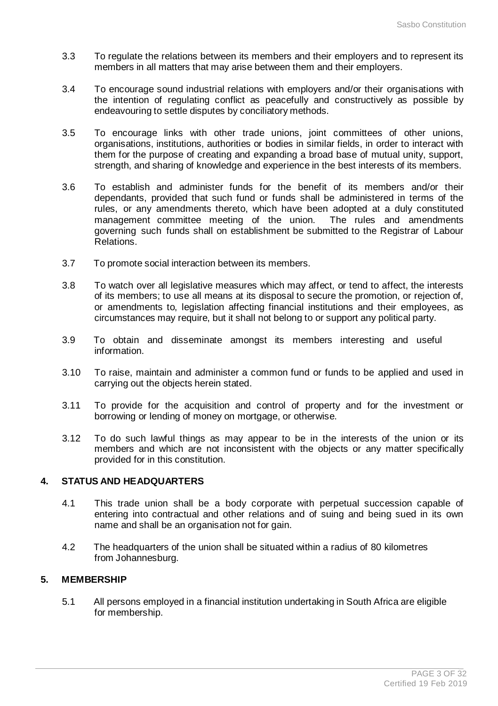- 3.3 To regulate the relations between its members and their employers and to represent its members in all matters that may arise between them and their employers.
- 3.4 To encourage sound industrial relations with employers and/or their organisations with the intention of regulating conflict as peacefully and constructively as possible by endeavouring to settle disputes by conciliatory methods.
- 3.5 To encourage links with other trade unions, joint committees of other unions, organisations, institutions, authorities or bodies in similar fields, in order to interact with them for the purpose of creating and expanding a broad base of mutual unity, support, strength, and sharing of knowledge and experience in the best interests of its members.
- 3.6 To establish and administer funds for the benefit of its members and/or their dependants, provided that such fund or funds shall be administered in terms of the rules, or any amendments thereto, which have been adopted at a duly constituted management committee meeting of the union. The rules and amendments governing such funds shall on establishment be submitted to the Registrar of Labour Relations.
- 3.7 To promote social interaction between its members.
- 3.8 To watch over all legislative measures which may affect, or tend to affect, the interests of its members; to use all means at its disposal to secure the promotion, or rejection of, or amendments to, legislation affecting financial institutions and their employees, as circumstances may require, but it shall not belong to or support any political party.
- 3.9 To obtain and disseminate amongst its members interesting and useful information.
- 3.10 To raise, maintain and administer a common fund or funds to be applied and used in carrying out the objects herein stated.
- 3.11 To provide for the acquisition and control of property and for the investment or borrowing or lending of money on mortgage, or otherwise.
- 3.12 To do such lawful things as may appear to be in the interests of the union or its members and which are not inconsistent with the objects or any matter specifically provided for in this constitution.

# **4. STATUS AND HEADQUARTERS**

- 4.1 This trade union shall be a body corporate with perpetual succession capable of entering into contractual and other relations and of suing and being sued in its own name and shall be an organisation not for gain.
- 4.2 The headquarters of the union shall be situated within a radius of 80 kilometres from Johannesburg.

### **5. MEMBERSHIP**

5.1 All persons employed in a financial institution undertaking in South Africa are eligible for membership.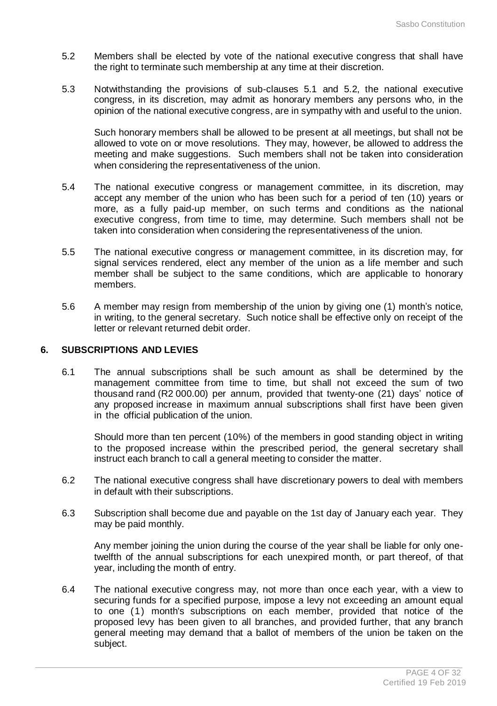- 5.2 Members shall be elected by vote of the national executive congress that shall have the right to terminate such membership at any time at their discretion.
- 5.3 Notwithstanding the provisions of sub-clauses 5.1 and 5.2, the national executive congress, in its discretion, may admit as honorary members any persons who, in the opinion of the national executive congress, are in sympathy with and useful to the union.

Such honorary members shall be allowed to be present at all meetings, but shall not be allowed to vote on or move resolutions. They may, however, be allowed to address the meeting and make suggestions. Such members shall not be taken into consideration when considering the representativeness of the union.

- 5.4 The national executive congress or management committee, in its discretion, may accept any member of the union who has been such for a period of ten (10) years or more, as a fully paid-up member, on such terms and conditions as the national executive congress, from time to time, may determine. Such members shall not be taken into consideration when considering the representativeness of the union.
- 5.5 The national executive congress or management committee, in its discretion may, for signal services rendered, elect any member of the union as a life member and such member shall be subject to the same conditions, which are applicable to honorary members.
- 5.6 A member may resign from membership of the union by giving one (1) month's notice, in writing, to the general secretary. Such notice shall be effective only on receipt of the letter or relevant returned debit order.

# **6. SUBSCRIPTIONS AND LEVIES**

6.1 The annual subscriptions shall be such amount as shall be determined by the management committee from time to time, but shall not exceed the sum of two thousand rand (R2 000.00) per annum, provided that twenty-one (21) days' notice of any proposed increase in maximum annual subscriptions shall first have been given in the official publication of the union.

Should more than ten percent (10%) of the members in good standing object in writing to the proposed increase within the prescribed period, the general secretary shall instruct each branch to call a general meeting to consider the matter.

- 6.2 The national executive congress shall have discretionary powers to deal with members in default with their subscriptions.
- 6.3 Subscription shall become due and payable on the 1st day of January each year. They may be paid monthly.

Any member joining the union during the course of the year shall be liable for only onetwelfth of the annual subscriptions for each unexpired month, or part thereof, of that year, including the month of entry.

6.4 The national executive congress may, not more than once each year, with a view to securing funds for a specified purpose, impose a levy not exceeding an amount equal to one (1) month's subscriptions on each member, provided that notice of the proposed levy has been given to all branches, and provided further, that any branch general meeting may demand that a ballot of members of the union be taken on the subject.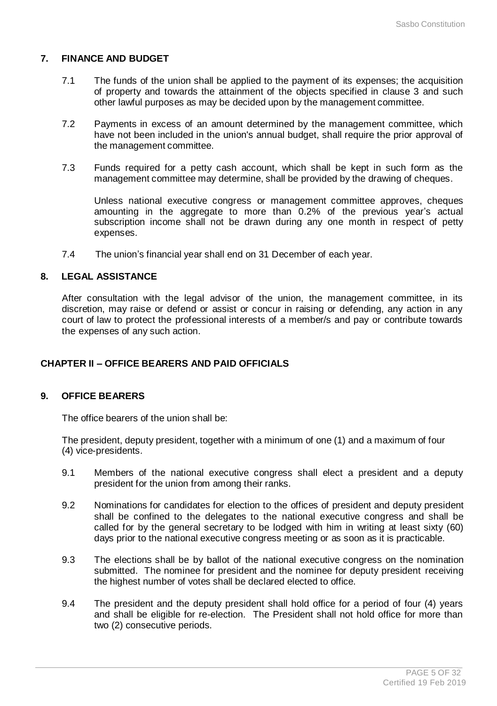# **7. FINANCE AND BUDGET**

- 7.1 The funds of the union shall be applied to the payment of its expenses; the acquisition of property and towards the attainment of the objects specified in clause 3 and such other lawful purposes as may be decided upon by the management committee.
- 7.2 Payments in excess of an amount determined by the management committee, which have not been included in the union's annual budget, shall require the prior approval of the management committee.
- 7.3 Funds required for a petty cash account, which shall be kept in such form as the management committee may determine, shall be provided by the drawing of cheques.

Unless national executive congress or management committee approves, cheques amounting in the aggregate to more than 0.2% of the previous year's actual subscription income shall not be drawn during any one month in respect of petty expenses.

7.4 The union's financial year shall end on 31 December of each year.

# **8. LEGAL ASSISTANCE**

After consultation with the legal advisor of the union, the management committee, in its discretion, may raise or defend or assist or concur in raising or defending, any action in any court of law to protect the professional interests of a member/s and pay or contribute towards the expenses of any such action.

# **CHAPTER II – OFFICE BEARERS AND PAID OFFICIALS**

### **9. OFFICE BEARERS**

The office bearers of the union shall be:

The president, deputy president, together with a minimum of one (1) and a maximum of four (4) vice-presidents.

- 9.1 Members of the national executive congress shall elect a president and a deputy president for the union from among their ranks.
- 9.2 Nominations for candidates for election to the offices of president and deputy president shall be confined to the delegates to the national executive congress and shall be called for by the general secretary to be lodged with him in writing at least sixty (60) days prior to the national executive congress meeting or as soon as it is practicable.
- 9.3 The elections shall be by ballot of the national executive congress on the nomination submitted. The nominee for president and the nominee for deputy president receiving the highest number of votes shall be declared elected to office.
- 9.4 The president and the deputy president shall hold office for a period of four (4) years and shall be eligible for re-election. The President shall not hold office for more than two (2) consecutive periods.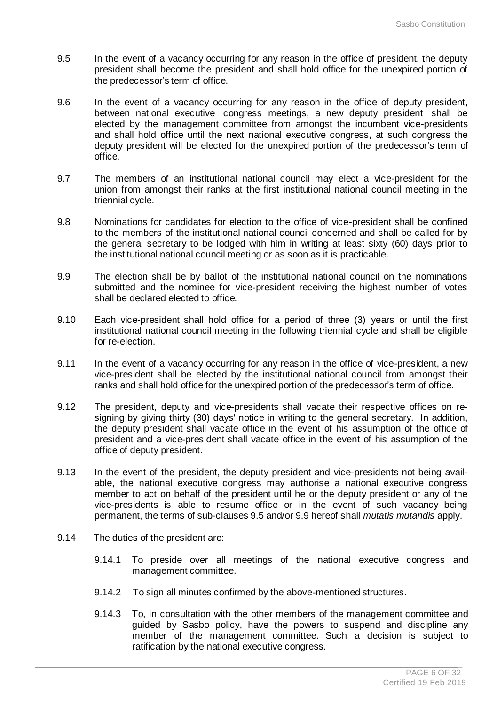- 9.5 In the event of a vacancy occurring for any reason in the office of president, the deputy president shall become the president and shall hold office for the unexpired portion of the predecessor's term of office.
- 9.6 In the event of a vacancy occurring for any reason in the office of deputy president, between national executive congress meetings, a new deputy president shall be elected by the management committee from amongst the incumbent vice-presidents and shall hold office until the next national executive congress, at such congress the deputy president will be elected for the unexpired portion of the predecessor's term of office.
- 9.7 The members of an institutional national council may elect a vice-president for the union from amongst their ranks at the first institutional national council meeting in the triennial cycle.
- 9.8 Nominations for candidates for election to the office of vice-president shall be confined to the members of the institutional national council concerned and shall be called for by the general secretary to be lodged with him in writing at least sixty (60) days prior to the institutional national council meeting or as soon as it is practicable.
- 9.9 The election shall be by ballot of the institutional national council on the nominations submitted and the nominee for vice-president receiving the highest number of votes shall be declared elected to office.
- 9.10 Each vice-president shall hold office for a period of three (3) years or until the first institutional national council meeting in the following triennial cycle and shall be eligible for re-election.
- 9.11 In the event of a vacancy occurring for any reason in the office of vice-president, a new vice-president shall be elected by the institutional national council from amongst their ranks and shall hold office for the unexpired portion of the predecessor's term of office.
- 9.12 The president**,** deputy and vice-presidents shall vacate their respective offices on resigning by giving thirty (30) days' notice in writing to the general secretary. In addition, the deputy president shall vacate office in the event of his assumption of the office of president and a vice-president shall vacate office in the event of his assumption of the office of deputy president.
- 9.13 In the event of the president, the deputy president and vice-presidents not being available, the national executive congress may authorise a national executive congress member to act on behalf of the president until he or the deputy president or any of the vice-presidents is able to resume office or in the event of such vacancy being permanent, the terms of sub-clauses 9.5 and/or 9.9 hereof shall *mutatis mutandis* apply.
- 9.14 The duties of the president are:
	- 9.14.1 To preside over all meetings of the national executive congress and management committee.
	- 9.14.2 To sign all minutes confirmed by the above-mentioned structures.
	- 9.14.3 To, in consultation with the other members of the management committee and guided by Sasbo policy, have the powers to suspend and discipline any member of the management committee. Such a decision is subject to ratification by the national executive congress.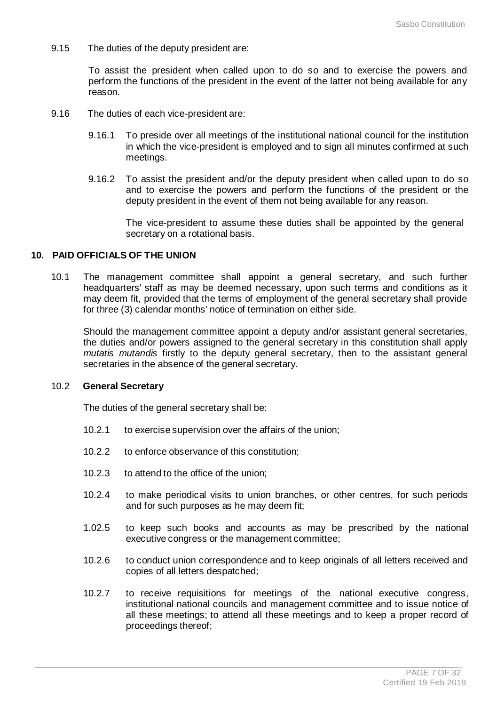9.15 The duties of the deputy president are:

To assist the president when called upon to do so and to exercise the powers and perform the functions of the president in the event of the latter not being available for any reason.

- 9.16 The duties of each vice-president are:
	- 9.16.1 To preside over all meetings of the institutional national council for the institution in which the vice-president is employed and to sign all minutes confirmed at such meetings.
	- 9.16.2 To assist the president and/or the deputy president when called upon to do so and to exercise the powers and perform the functions of the president or the deputy president in the event of them not being available for any reason.

The vice-president to assume these duties shall be appointed by the general secretary on a rotational basis.

#### **10. PAID OFFICIALS OF THE UNION**

10.1 The management committee shall appoint a general secretary, and such further headquarters' staff as may be deemed necessary, upon such terms and conditions as it may deem fit, provided that the terms of employment of the general secretary shall provide for three (3) calendar months' notice of termination on either side.

Should the management committee appoint a deputy and/or assistant general secretaries, the duties and/or powers assigned to the general secretary in this constitution shall apply *mutatis mutandis* firstly to the deputy general secretary, then to the assistant general secretaries in the absence of the general secretary.

# 10.2 **General Secretary**

The duties of the general secretary shall be:

- 10.2.1 to exercise supervision over the affairs of the union;
- 10.2.2 to enforce observance of this constitution;
- 10.2.3 to attend to the office of the union;
- 10.2.4 to make periodical visits to union branches, or other centres, for such periods and for such purposes as he may deem fit;
- 1.02.5 to keep such books and accounts as may be prescribed by the national executive congress or the management committee;
- 10.2.6 to conduct union correspondence and to keep originals of all letters received and copies of all letters despatched;
- 10.2.7 to receive requisitions for meetings of the national executive congress, institutional national councils and management committee and to issue notice of all these meetings; to attend all these meetings and to keep a proper record of proceedings thereof;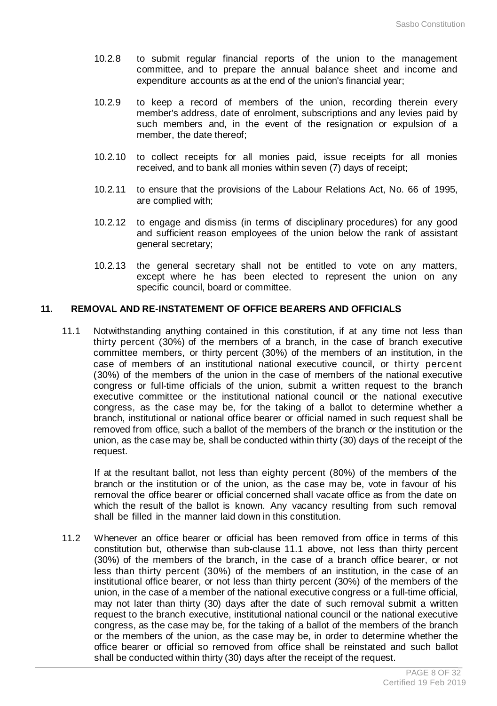- 10.2.8 to submit regular financial reports of the union to the management committee, and to prepare the annual balance sheet and income and expenditure accounts as at the end of the union's financial year;
- 10.2.9 to keep a record of members of the union, recording therein every member's address, date of enrolment, subscriptions and any levies paid by such members and, in the event of the resignation or expulsion of a member, the date thereof;
- 10.2.10 to collect receipts for all monies paid, issue receipts for all monies received, and to bank all monies within seven (7) days of receipt;
- 10.2.11 to ensure that the provisions of the Labour Relations Act, No. 66 of 1995, are complied with;
- 10.2.12 to engage and dismiss (in terms of disciplinary procedures) for any good and sufficient reason employees of the union below the rank of assistant general secretary;
- 10.2.13 the general secretary shall not be entitled to vote on any matters, except where he has been elected to represent the union on any specific council, board or committee.

#### **11. REMOVAL AND RE-INSTATEMENT OF OFFICE BEARERS AND OFFICIALS**

11.1 Notwithstanding anything contained in this constitution, if at any time not less than thirty percent (30%) of the members of a branch, in the case of branch executive committee members, or thirty percent (30%) of the members of an institution, in the case of members of an institutional national executive council, or thirty percent (30%) of the members of the union in the case of members of the national executive congress or full-time officials of the union, submit a written request to the branch executive committee or the institutional national council or the national executive congress, as the case may be, for the taking of a ballot to determine whether a branch, institutional or national office bearer or official named in such request shall be removed from office, such a ballot of the members of the branch or the institution or the union, as the case may be, shall be conducted within thirty (30) days of the receipt of the request.

If at the resultant ballot, not less than eighty percent (80%) of the members of the branch or the institution or of the union, as the case may be, vote in favour of his removal the office bearer or official concerned shall vacate office as from the date on which the result of the ballot is known. Any vacancy resulting from such removal shall be filled in the manner laid down in this constitution.

11.2 Whenever an office bearer or official has been removed from office in terms of this constitution but, otherwise than sub-clause 11.1 above, not less than thirty percent (30%) of the members of the branch, in the case of a branch office bearer, or not less than thirty percent (30%) of the members of an institution, in the case of an institutional office bearer, or not less than thirty percent (30%) of the members of the union, in the case of a member of the national executive congress or a full-time official, may not later than thirty (30) days after the date of such removal submit a written request to the branch executive, institutional national council or the national executive congress, as the case may be, for the taking of a ballot of the members of the branch or the members of the union, as the case may be, in order to determine whether the office bearer or official so removed from office shall be reinstated and such ballot shall be conducted within thirty (30) days after the receipt of the request.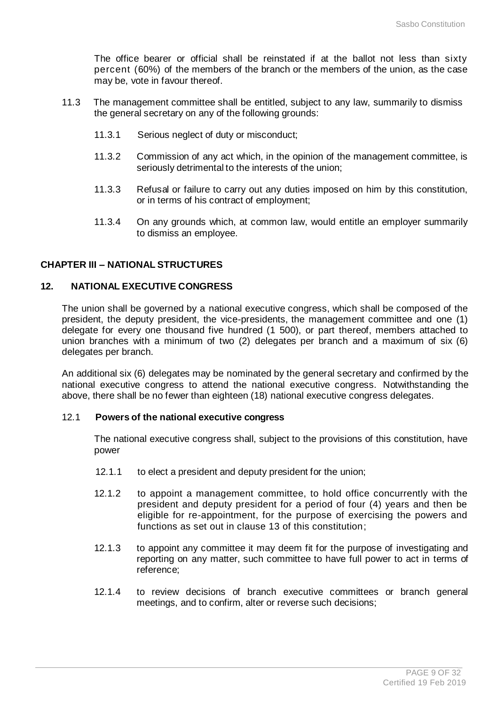The office bearer or official shall be reinstated if at the ballot not less than sixty percent (60%) of the members of the branch or the members of the union, as the case may be, vote in favour thereof.

- 11.3 The management committee shall be entitled, subject to any law, summarily to dismiss the general secretary on any of the following grounds:
	- 11.3.1 Serious neglect of duty or misconduct;
	- 11.3.2 Commission of any act which, in the opinion of the management committee, is seriously detrimental to the interests of the union;
	- 11.3.3 Refusal or failure to carry out any duties imposed on him by this constitution, or in terms of his contract of employment;
	- 11.3.4 On any grounds which, at common law, would entitle an employer summarily to dismiss an employee.

# **CHAPTER III – NATIONAL STRUCTURES**

#### **12. NATIONAL EXECUTIVE CONGRESS**

The union shall be governed by a national executive congress, which shall be composed of the president, the deputy president, the vice-presidents, the management committee and one (1) delegate for every one thousand five hundred (1 500), or part thereof, members attached to union branches with a minimum of two (2) delegates per branch and a maximum of six (6) delegates per branch.

An additional six (6) delegates may be nominated by the general secretary and confirmed by the national executive congress to attend the national executive congress. Notwithstanding the above, there shall be no fewer than eighteen (18) national executive congress delegates.

### 12.1 **Powers of the national executive congress**

The national executive congress shall, subject to the provisions of this constitution, have power

- 12.1.1 to elect a president and deputy president for the union;
- 12.1.2 to appoint a management committee, to hold office concurrently with the president and deputy president for a period of four (4) years and then be eligible for re-appointment, for the purpose of exercising the powers and functions as set out in clause 13 of this constitution;
- 12.1.3 to appoint any committee it may deem fit for the purpose of investigating and reporting on any matter, such committee to have full power to act in terms of reference;
- 12.1.4 to review decisions of branch executive committees or branch general meetings, and to confirm, alter or reverse such decisions;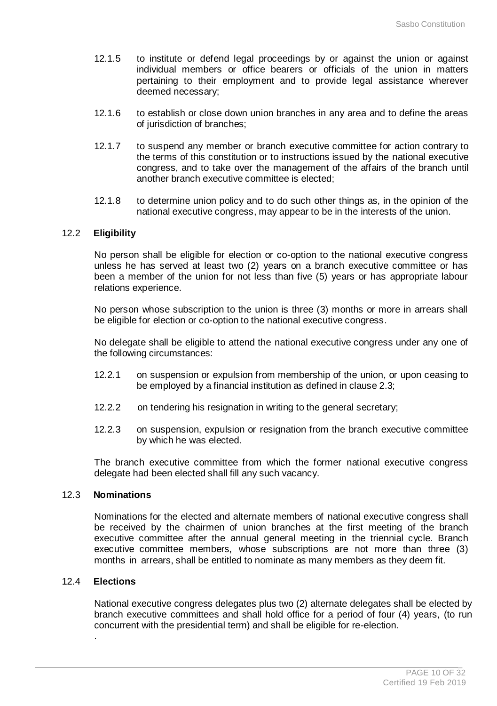- 12.1.5 to institute or defend legal proceedings by or against the union or against individual members or office bearers or officials of the union in matters pertaining to their employment and to provide legal assistance wherever deemed necessary;
- 12.1.6 to establish or close down union branches in any area and to define the areas of jurisdiction of branches;
- 12.1.7 to suspend any member or branch executive committee for action contrary to the terms of this constitution or to instructions issued by the national executive congress, and to take over the management of the affairs of the branch until another branch executive committee is elected;
- 12.1.8 to determine union policy and to do such other things as, in the opinion of the national executive congress, may appear to be in the interests of the union.

### 12.2 **Eligibility**

No person shall be eligible for election or co-option to the national executive congress unless he has served at least two (2) years on a branch executive committee or has been a member of the union for not less than five (5) years or has appropriate labour relations experience.

No person whose subscription to the union is three (3) months or more in arrears shall be eligible for election or co-option to the national executive congress.

No delegate shall be eligible to attend the national executive congress under any one of the following circumstances:

- 12.2.1 on suspension or expulsion from membership of the union, or upon ceasing to be employed by a financial institution as defined in clause 2.3;
- 12.2.2 on tendering his resignation in writing to the general secretary;
- 12.2.3 on suspension, expulsion or resignation from the branch executive committee by which he was elected.

The branch executive committee from which the former national executive congress delegate had been elected shall fill any such vacancy.

### 12.3 **Nominations**

Nominations for the elected and alternate members of national executive congress shall be received by the chairmen of union branches at the first meeting of the branch executive committee after the annual general meeting in the triennial cycle. Branch executive committee members, whose subscriptions are not more than three (3) months in arrears, shall be entitled to nominate as many members as they deem fit.

### 12.4 **Elections**

.

National executive congress delegates plus two (2) alternate delegates shall be elected by branch executive committees and shall hold office for a period of four (4) years, (to run concurrent with the presidential term) and shall be eligible for re-election.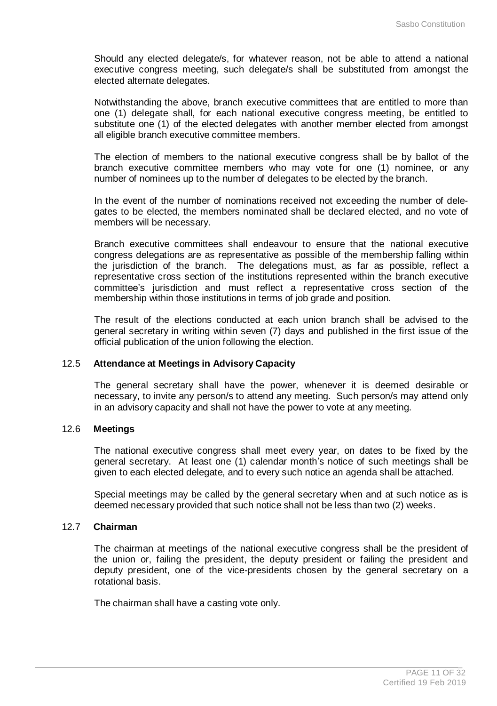Should any elected delegate/s, for whatever reason, not be able to attend a national executive congress meeting, such delegate/s shall be substituted from amongst the elected alternate delegates.

Notwithstanding the above, branch executive committees that are entitled to more than one (1) delegate shall, for each national executive congress meeting, be entitled to substitute one (1) of the elected delegates with another member elected from amongst all eligible branch executive committee members.

The election of members to the national executive congress shall be by ballot of the branch executive committee members who may vote for one (1) nominee, or any number of nominees up to the number of delegates to be elected by the branch.

In the event of the number of nominations received not exceeding the number of delegates to be elected, the members nominated shall be declared elected, and no vote of members will be necessary.

Branch executive committees shall endeavour to ensure that the national executive congress delegations are as representative as possible of the membership falling within the jurisdiction of the branch. The delegations must, as far as possible, reflect a representative cross section of the institutions represented within the branch executive committee's jurisdiction and must reflect a representative cross section of the membership within those institutions in terms of job grade and position.

The result of the elections conducted at each union branch shall be advised to the general secretary in writing within seven (7) days and published in the first issue of the official publication of the union following the election.

## 12.5 **Attendance at Meetings in Advisory Capacity**

The general secretary shall have the power, whenever it is deemed desirable or necessary, to invite any person/s to attend any meeting. Such person/s may attend only in an advisory capacity and shall not have the power to vote at any meeting.

# 12.6 **Meetings**

The national executive congress shall meet every year, on dates to be fixed by the general secretary. At least one (1) calendar month's notice of such meetings shall be given to each elected delegate, and to every such notice an agenda shall be attached.

Special meetings may be called by the general secretary when and at such notice as is deemed necessary provided that such notice shall not be less than two (2) weeks.

# 12.7 **Chairman**

The chairman at meetings of the national executive congress shall be the president of the union or, failing the president, the deputy president or failing the president and deputy president, one of the vice-presidents chosen by the general secretary on a rotational basis.

The chairman shall have a casting vote only.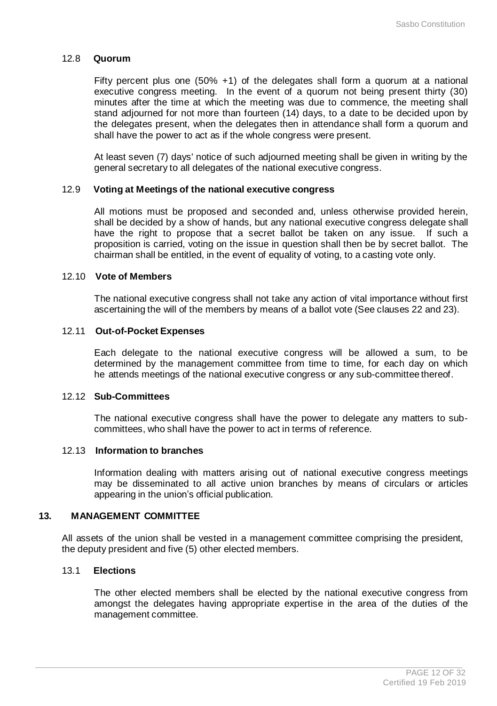# 12.8 **Quorum**

Fifty percent plus one (50% +1) of the delegates shall form a quorum at a national executive congress meeting. In the event of a quorum not being present thirty (30) minutes after the time at which the meeting was due to commence, the meeting shall stand adjourned for not more than fourteen (14) days, to a date to be decided upon by the delegates present, when the delegates then in attendance shall form a quorum and shall have the power to act as if the whole congress were present.

At least seven (7) days' notice of such adjourned meeting shall be given in writing by the general secretary to all delegates of the national executive congress.

### 12.9 **Voting at Meetings of the national executive congress**

All motions must be proposed and seconded and, unless otherwise provided herein, shall be decided by a show of hands, but any national executive congress delegate shall have the right to propose that a secret ballot be taken on any issue. If such a proposition is carried, voting on the issue in question shall then be by secret ballot. The chairman shall be entitled, in the event of equality of voting, to a casting vote only.

#### 12.10 **Vote of Members**

The national executive congress shall not take any action of vital importance without first ascertaining the will of the members by means of a ballot vote (See clauses 22 and 23).

#### 12.11 **Out-of-Pocket Expenses**

Each delegate to the national executive congress will be allowed a sum, to be determined by the management committee from time to time, for each day on which he attends meetings of the national executive congress or any sub-committee thereof.

#### 12.12 **Sub-Committees**

The national executive congress shall have the power to delegate any matters to subcommittees, who shall have the power to act in terms of reference.

#### 12.13 **Information to branches**

Information dealing with matters arising out of national executive congress meetings may be disseminated to all active union branches by means of circulars or articles appearing in the union's official publication.

#### **13. MANAGEMENT COMMITTEE**

All assets of the union shall be vested in a management committee comprising the president, the deputy president and five (5) other elected members.

### 13.1 **Elections**

The other elected members shall be elected by the national executive congress from amongst the delegates having appropriate expertise in the area of the duties of the management committee.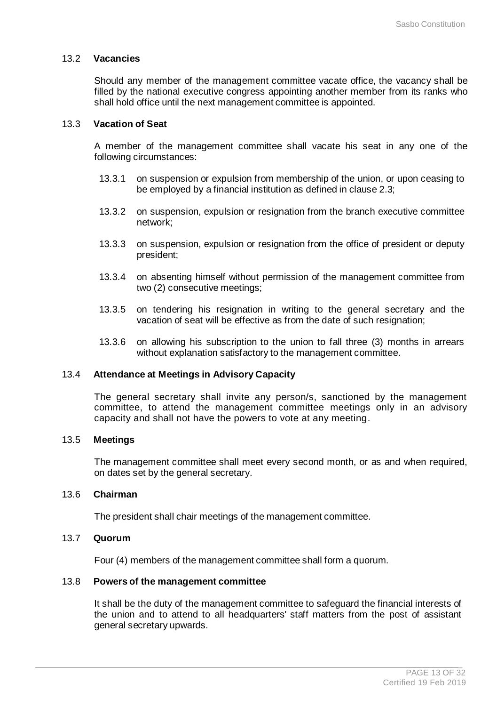### 13.2 **Vacancies**

Should any member of the management committee vacate office, the vacancy shall be filled by the national executive congress appointing another member from its ranks who shall hold office until the next management committee is appointed.

# 13.3 **Vacation of Seat**

A member of the management committee shall vacate his seat in any one of the following circumstances:

- 13.3.1 on suspension or expulsion from membership of the union, or upon ceasing to be employed by a financial institution as defined in clause 2.3;
- 13.3.2 on suspension, expulsion or resignation from the branch executive committee network;
- 13.3.3 on suspension, expulsion or resignation from the office of president or deputy president;
- 13.3.4 on absenting himself without permission of the management committee from two (2) consecutive meetings;
- 13.3.5 on tendering his resignation in writing to the general secretary and the vacation of seat will be effective as from the date of such resignation;
- 13.3.6 on allowing his subscription to the union to fall three (3) months in arrears without explanation satisfactory to the management committee.

# 13.4 **Attendance at Meetings in Advisory Capacity**

The general secretary shall invite any person/s, sanctioned by the management committee, to attend the management committee meetings only in an advisory capacity and shall not have the powers to vote at any meeting.

# 13.5 **Meetings**

The management committee shall meet every second month, or as and when required, on dates set by the general secretary.

#### 13.6 **Chairman**

The president shall chair meetings of the management committee.

# 13.7 **Quorum**

Four (4) members of the management committee shall form a quorum.

# 13.8 **Powers of the management committee**

It shall be the duty of the management committee to safeguard the financial interests of the union and to attend to all headquarters' staff matters from the post of assistant general secretary upwards.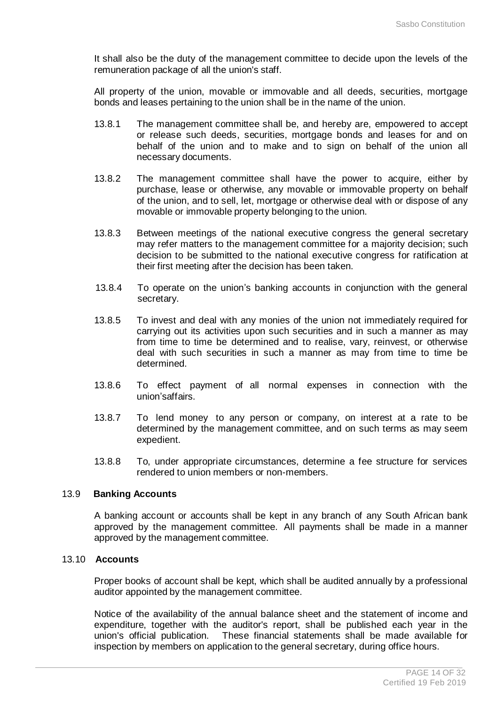It shall also be the duty of the management committee to decide upon the levels of the remuneration package of all the union's staff.

All property of the union, movable or immovable and all deeds, securities, mortgage bonds and leases pertaining to the union shall be in the name of the union.

- 13.8.1 The management committee shall be, and hereby are, empowered to accept or release such deeds, securities, mortgage bonds and leases for and on behalf of the union and to make and to sign on behalf of the union all necessary documents.
- 13.8.2 The management committee shall have the power to acquire, either by purchase, lease or otherwise, any movable or immovable property on behalf of the union, and to sell, let, mortgage or otherwise deal with or dispose of any movable or immovable property belonging to the union.
- 13.8.3 Between meetings of the national executive congress the general secretary may refer matters to the management committee for a majority decision; such decision to be submitted to the national executive congress for ratification at their first meeting after the decision has been taken.
- 13.8.4 To operate on the union's banking accounts in conjunction with the general secretary.
- 13.8.5 To invest and deal with any monies of the union not immediately required for carrying out its activities upon such securities and in such a manner as may from time to time be determined and to realise, vary, reinvest, or otherwise deal with such securities in such a manner as may from time to time be determined.
- 13.8.6 To effect payment of all normal expenses in connection with the union'saffairs.
- 13.8.7 To lend money to any person or company, on interest at a rate to be determined by the management committee, and on such terms as may seem expedient.
- 13.8.8 To, under appropriate circumstances, determine a fee structure for services rendered to union members or non-members.

# 13.9 **Banking Accounts**

A banking account or accounts shall be kept in any branch of any South African bank approved by the management committee. All payments shall be made in a manner approved by the management committee.

# 13.10 **Accounts**

Proper books of account shall be kept, which shall be audited annually by a professional auditor appointed by the management committee.

Notice of the availability of the annual balance sheet and the statement of income and expenditure, together with the auditor's report, shall be published each year in the union's official publication. These financial statements shall be made available for inspection by members on application to the general secretary, during office hours.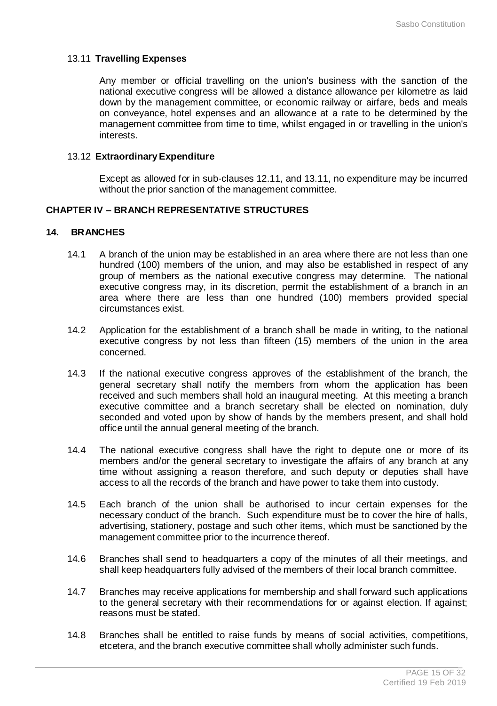# 13.11 **Travelling Expenses**

Any member or official travelling on the union's business with the sanction of the national executive congress will be allowed a distance allowance per kilometre as laid down by the management committee, or economic railway or airfare, beds and meals on conveyance, hotel expenses and an allowance at a rate to be determined by the management committee from time to time, whilst engaged in or travelling in the union's interests.

#### 13.12 **ExtraordinaryExpenditure**

Except as allowed for in sub-clauses 12.11, and 13.11, no expenditure may be incurred without the prior sanction of the management committee.

# **CHAPTER IV – BRANCH REPRESENTATIVE STRUCTURES**

#### **14. BRANCHES**

- 14.1 A branch of the union may be established in an area where there are not less than one hundred (100) members of the union, and may also be established in respect of any group of members as the national executive congress may determine. The national executive congress may, in its discretion, permit the establishment of a branch in an area where there are less than one hundred (100) members provided special circumstances exist.
- 14.2 Application for the establishment of a branch shall be made in writing, to the national executive congress by not less than fifteen (15) members of the union in the area concerned.
- 14.3 If the national executive congress approves of the establishment of the branch, the general secretary shall notify the members from whom the application has been received and such members shall hold an inaugural meeting. At this meeting a branch executive committee and a branch secretary shall be elected on nomination, duly seconded and voted upon by show of hands by the members present, and shall hold office until the annual general meeting of the branch.
- 14.4 The national executive congress shall have the right to depute one or more of its members and/or the general secretary to investigate the affairs of any branch at any time without assigning a reason therefore, and such deputy or deputies shall have access to all the records of the branch and have power to take them into custody.
- 14.5 Each branch of the union shall be authorised to incur certain expenses for the necessary conduct of the branch. Such expenditure must be to cover the hire of halls, advertising, stationery, postage and such other items, which must be sanctioned by the management committee prior to the incurrence thereof.
- 14.6 Branches shall send to headquarters a copy of the minutes of all their meetings, and shall keep headquarters fully advised of the members of their local branch committee.
- 14.7 Branches may receive applications for membership and shall forward such applications to the general secretary with their recommendations for or against election. If against; reasons must be stated.
- 14.8 Branches shall be entitled to raise funds by means of social activities, competitions, etcetera, and the branch executive committee shall wholly administer such funds.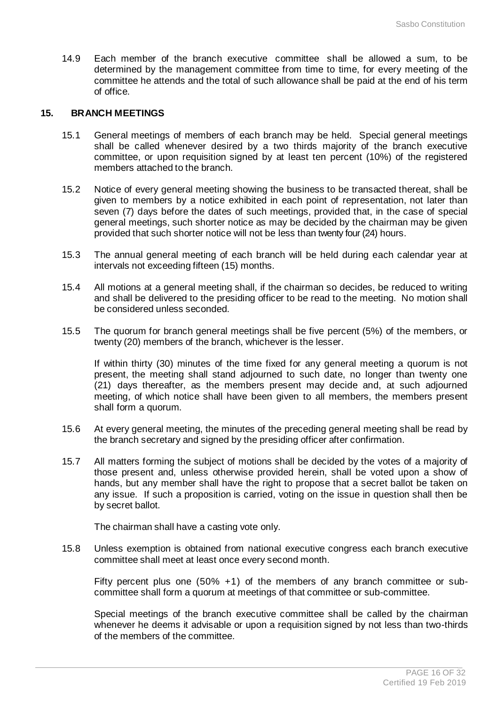14.9 Each member of the branch executive committee shall be allowed a sum, to be determined by the management committee from time to time, for every meeting of the committee he attends and the total of such allowance shall be paid at the end of his term of office.

# **15. BRANCH MEETINGS**

- 15.1 General meetings of members of each branch may be held. Special general meetings shall be called whenever desired by a two thirds majority of the branch executive committee, or upon requisition signed by at least ten percent (10%) of the registered members attached to the branch.
- 15.2 Notice of every general meeting showing the business to be transacted thereat, shall be given to members by a notice exhibited in each point of representation, not later than seven (7) days before the dates of such meetings, provided that, in the case of special general meetings, such shorter notice as may be decided by the chairman may be given provided that such shorter notice will not be less than twenty four (24) hours.
- 15.3 The annual general meeting of each branch will be held during each calendar year at intervals not exceeding fifteen (15) months.
- 15.4 All motions at a general meeting shall, if the chairman so decides, be reduced to writing and shall be delivered to the presiding officer to be read to the meeting. No motion shall be considered unless seconded.
- 15.5 The quorum for branch general meetings shall be five percent (5%) of the members, or twenty (20) members of the branch, whichever is the lesser.

If within thirty (30) minutes of the time fixed for any general meeting a quorum is not present, the meeting shall stand adjourned to such date, no longer than twenty one (21) days thereafter, as the members present may decide and, at such adjourned meeting, of which notice shall have been given to all members, the members present shall form a quorum.

- 15.6 At every general meeting, the minutes of the preceding general meeting shall be read by the branch secretary and signed by the presiding officer after confirmation.
- 15.7 All matters forming the subject of motions shall be decided by the votes of a majority of those present and, unless otherwise provided herein, shall be voted upon a show of hands, but any member shall have the right to propose that a secret ballot be taken on any issue. If such a proposition is carried, voting on the issue in question shall then be by secret ballot.

The chairman shall have a casting vote only.

15.8 Unless exemption is obtained from national executive congress each branch executive committee shall meet at least once every second month.

Fifty percent plus one (50% +1) of the members of any branch committee or subcommittee shall form a quorum at meetings of that committee or sub-committee.

Special meetings of the branch executive committee shall be called by the chairman whenever he deems it advisable or upon a requisition signed by not less than two-thirds of the members of the committee.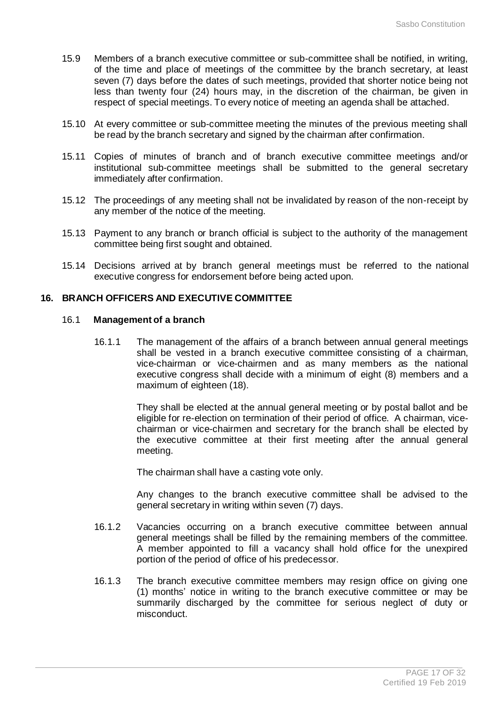- 15.9 Members of a branch executive committee or sub-committee shall be notified, in writing, of the time and place of meetings of the committee by the branch secretary, at least seven (7) days before the dates of such meetings, provided that shorter notice being not less than twenty four (24) hours may, in the discretion of the chairman, be given in respect of special meetings. To every notice of meeting an agenda shall be attached.
- 15.10 At every committee or sub-committee meeting the minutes of the previous meeting shall be read by the branch secretary and signed by the chairman after confirmation.
- 15.11 Copies of minutes of branch and of branch executive committee meetings and/or institutional sub-committee meetings shall be submitted to the general secretary immediately after confirmation.
- 15.12 The proceedings of any meeting shall not be invalidated by reason of the non-receipt by any member of the notice of the meeting.
- 15.13 Payment to any branch or branch official is subject to the authority of the management committee being first sought and obtained.
- 15.14 Decisions arrived at by branch general meetings must be referred to the national executive congress for endorsement before being acted upon.

# **16. BRANCH OFFICERS AND EXECUTIVE COMMITTEE**

# 16.1 **Management of a branch**

16.1.1 The management of the affairs of a branch between annual general meetings shall be vested in a branch executive committee consisting of a chairman, vice-chairman or vice-chairmen and as many members as the national executive congress shall decide with a minimum of eight (8) members and a maximum of eighteen (18).

> They shall be elected at the annual general meeting or by postal ballot and be eligible for re-election on termination of their period of office. A chairman, vicechairman or vice-chairmen and secretary for the branch shall be elected by the executive committee at their first meeting after the annual general meeting.

The chairman shall have a casting vote only.

Any changes to the branch executive committee shall be advised to the general secretary in writing within seven (7) days.

- 16.1.2 Vacancies occurring on a branch executive committee between annual general meetings shall be filled by the remaining members of the committee. A member appointed to fill a vacancy shall hold office for the unexpired portion of the period of office of his predecessor.
- 16.1.3 The branch executive committee members may resign office on giving one (1) months' notice in writing to the branch executive committee or may be summarily discharged by the committee for serious neglect of duty or misconduct.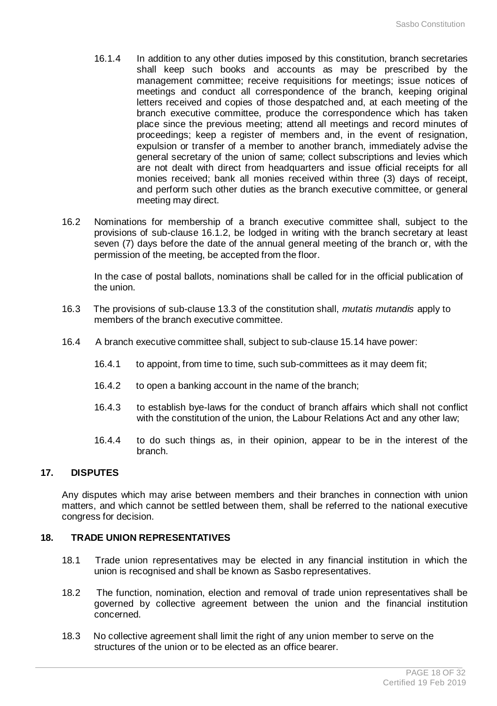- 16.1.4 In addition to any other duties imposed by this constitution, branch secretaries shall keep such books and accounts as may be prescribed by the management committee; receive requisitions for meetings; issue notices of meetings and conduct all correspondence of the branch, keeping original letters received and copies of those despatched and, at each meeting of the branch executive committee, produce the correspondence which has taken place since the previous meeting; attend all meetings and record minutes of proceedings; keep a register of members and, in the event of resignation, expulsion or transfer of a member to another branch, immediately advise the general secretary of the union of same; collect subscriptions and levies which are not dealt with direct from headquarters and issue official receipts for all monies received; bank all monies received within three (3) days of receipt, and perform such other duties as the branch executive committee, or general meeting may direct.
- 16.2 Nominations for membership of a branch executive committee shall, subject to the provisions of sub-clause 16.1.2, be lodged in writing with the branch secretary at least seven (7) days before the date of the annual general meeting of the branch or, with the permission of the meeting, be accepted from the floor.

In the case of postal ballots, nominations shall be called for in the official publication of the union.

- 16.3 The provisions of sub-clause 13.3 of the constitution shall, *mutatis mutandis* apply to members of the branch executive committee.
- 16.4 A branch executive committee shall, subject to sub-clause 15.14 have power:
	- 16.4.1 to appoint, from time to time, such sub-committees as it may deem fit;
	- 16.4.2 to open a banking account in the name of the branch;
	- 16.4.3 to establish bye-laws for the conduct of branch affairs which shall not conflict with the constitution of the union, the Labour Relations Act and any other law;
	- 16.4.4 to do such things as, in their opinion, appear to be in the interest of the branch.

# **17. DISPUTES**

Any disputes which may arise between members and their branches in connection with union matters, and which cannot be settled between them, shall be referred to the national executive congress for decision.

# **18. TRADE UNION REPRESENTATIVES**

- 18.1 Trade union representatives may be elected in any financial institution in which the union is recognised and shall be known as Sasbo representatives.
- 18.2 The function, nomination, election and removal of trade union representatives shall be governed by collective agreement between the union and the financial institution concerned.
- 18.3 No collective agreement shall limit the right of any union member to serve on the structures of the union or to be elected as an office bearer.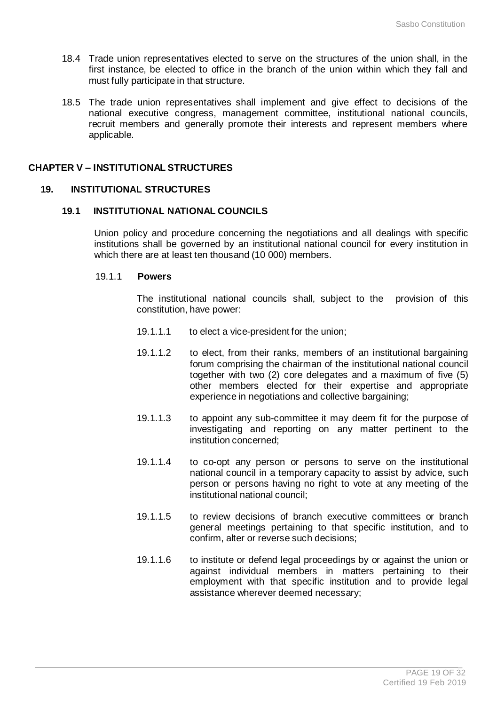- 18.4 Trade union representatives elected to serve on the structures of the union shall, in the first instance, be elected to office in the branch of the union within which they fall and must fully participate in that structure.
- 18.5 The trade union representatives shall implement and give effect to decisions of the national executive congress, management committee, institutional national councils, recruit members and generally promote their interests and represent members where applicable.

#### **CHAPTER V – INSTITUTIONAL STRUCTURES**

#### **19. INSTITUTIONAL STRUCTURES**

#### **19.1 INSTITUTIONAL NATIONAL COUNCILS**

Union policy and procedure concerning the negotiations and all dealings with specific institutions shall be governed by an institutional national council for every institution in which there are at least ten thousand (10 000) members.

### 19.1.1 **Powers**

The institutional national councils shall, subject to the provision of this constitution, have power:

- 19.1.1.1 to elect a vice-president for the union;
- 19.1.1.2 to elect, from their ranks, members of an institutional bargaining forum comprising the chairman of the institutional national council together with two (2) core delegates and a maximum of five (5) other members elected for their expertise and appropriate experience in negotiations and collective bargaining;
- 19.1.1.3 to appoint any sub-committee it may deem fit for the purpose of investigating and reporting on any matter pertinent to the institution concerned;
- 19.1.1.4 to co-opt any person or persons to serve on the institutional national council in a temporary capacity to assist by advice, such person or persons having no right to vote at any meeting of the institutional national council;
- 19.1.1.5 to review decisions of branch executive committees or branch general meetings pertaining to that specific institution, and to confirm, alter or reverse such decisions;
- 19.1.1.6 to institute or defend legal proceedings by or against the union or against individual members in matters pertaining to their employment with that specific institution and to provide legal assistance wherever deemed necessary;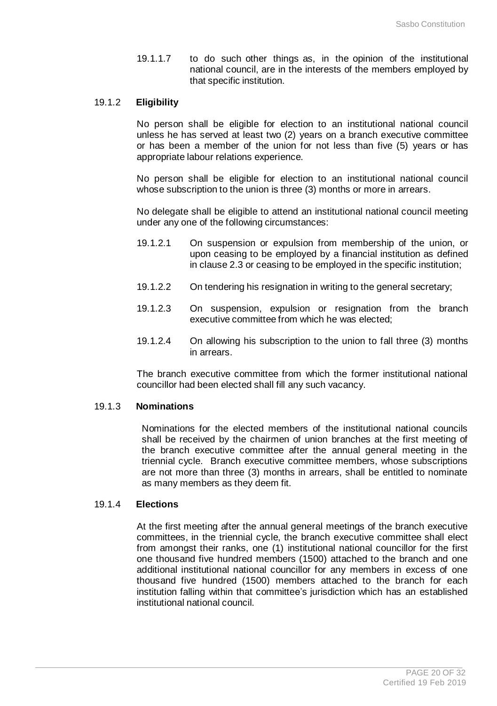19.1.1.7 to do such other things as, in the opinion of the institutional national council, are in the interests of the members employed by that specific institution.

# 19.1.2 **Eligibility**

No person shall be eligible for election to an institutional national council unless he has served at least two (2) years on a branch executive committee or has been a member of the union for not less than five (5) years or has appropriate labour relations experience.

No person shall be eligible for election to an institutional national council whose subscription to the union is three (3) months or more in arrears.

No delegate shall be eligible to attend an institutional national council meeting under any one of the following circumstances:

- 19.1.2.1 On suspension or expulsion from membership of the union, or upon ceasing to be employed by a financial institution as defined in clause 2.3 or ceasing to be employed in the specific institution;
- 19.1.2.2 On tendering his resignation in writing to the general secretary;
- 19.1.2.3 On suspension, expulsion or resignation from the branch executive committee from which he was elected;
- 19.1.2.4 On allowing his subscription to the union to fall three (3) months in arrears.

The branch executive committee from which the former institutional national councillor had been elected shall fill any such vacancy.

#### 19.1.3 **Nominations**

Nominations for the elected members of the institutional national councils shall be received by the chairmen of union branches at the first meeting of the branch executive committee after the annual general meeting in the triennial cycle. Branch executive committee members, whose subscriptions are not more than three (3) months in arrears, shall be entitled to nominate as many members as they deem fit.

#### 19.1.4 **Elections**

At the first meeting after the annual general meetings of the branch executive committees, in the triennial cycle, the branch executive committee shall elect from amongst their ranks, one (1) institutional national councillor for the first one thousand five hundred members (1500) attached to the branch and one additional institutional national councillor for any members in excess of one thousand five hundred (1500) members attached to the branch for each institution falling within that committee's jurisdiction which has an established institutional national council.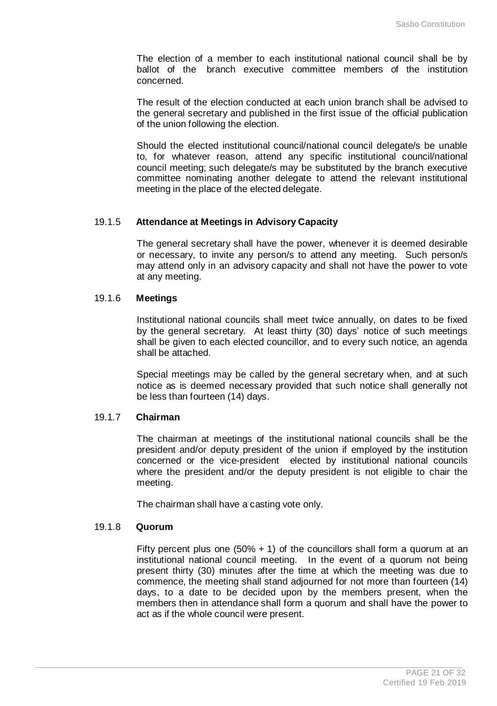The election of a member to each institutional national council shall be by ballot of the branch executive committee members of the institution concerned.

The result of the election conducted at each union branch shall be advised to the general secretary and published in the first issue of the official publication of the union following the election.

Should the elected institutional council/national council delegate/s be unable to, for whatever reason, attend any specific institutional council/national council meeting; such delegate/s may be substituted by the branch executive committee nominating another delegate to attend the relevant institutional meeting in the place of the elected delegate.

#### 19.1.5 **Attendance at Meetings in Advisory Capacity**

The general secretary shall have the power, whenever it is deemed desirable or necessary, to invite any person/s to attend any meeting. Such person/s may attend only in an advisory capacity and shall not have the power to vote at any meeting.

# 19.1.6 **Meetings**

Institutional national councils shall meet twice annually, on dates to be fixed by the general secretary. At least thirty (30) days' notice of such meetings shall be given to each elected councillor, and to every such notice, an agenda shall be attached.

Special meetings may be called by the general secretary when, and at such notice as is deemed necessary provided that such notice shall generally not be less than fourteen (14) days.

### 19.1.7 **Chairman**

The chairman at meetings of the institutional national councils shall be the president and/or deputy president of the union if employed by the institution concerned or the vice-president elected by institutional national councils where the president and/or the deputy president is not eligible to chair the meeting.

The chairman shall have a casting vote only.

# 19.1.8 **Quorum**

Fifty percent plus one  $(50\% + 1)$  of the councillors shall form a quorum at an institutional national council meeting. In the event of a quorum not being present thirty (30) minutes after the time at which the meeting was due to commence, the meeting shall stand adjourned for not more than fourteen (14) days, to a date to be decided upon by the members present, when the members then in attendance shall form a quorum and shall have the power to act as if the whole council were present.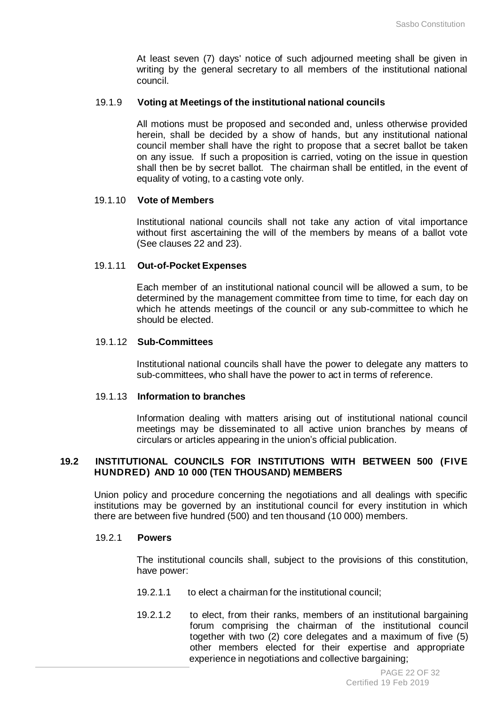At least seven (7) days' notice of such adjourned meeting shall be given in writing by the general secretary to all members of the institutional national council.

#### 19.1.9 **Voting at Meetings of the institutional national councils**

All motions must be proposed and seconded and, unless otherwise provided herein, shall be decided by a show of hands, but any institutional national council member shall have the right to propose that a secret ballot be taken on any issue. If such a proposition is carried, voting on the issue in question shall then be by secret ballot. The chairman shall be entitled, in the event of equality of voting, to a casting vote only.

#### 19.1.10 **Vote of Members**

Institutional national councils shall not take any action of vital importance without first ascertaining the will of the members by means of a ballot vote (See clauses 22 and 23).

### 19.1.11 **Out-of-Pocket Expenses**

Each member of an institutional national council will be allowed a sum, to be determined by the management committee from time to time, for each day on which he attends meetings of the council or any sub-committee to which he should be elected.

### 19.1.12 **Sub-Committees**

Institutional national councils shall have the power to delegate any matters to sub-committees, who shall have the power to act in terms of reference.

### 19.1.13 **Information to branches**

Information dealing with matters arising out of institutional national council meetings may be disseminated to all active union branches by means of circulars or articles appearing in the union's official publication.

# **19.2 INSTITUTIONAL COUNCILS FOR INSTITUTIONS WITH BETWEEN 500 (FIVE HUNDRED) AND 10 000 (TEN THOUSAND) MEMBERS**

Union policy and procedure concerning the negotiations and all dealings with specific institutions may be governed by an institutional council for every institution in which there are between five hundred (500) and ten thousand (10 000) members.

# 19.2.1 **Powers**

The institutional councils shall, subject to the provisions of this constitution, have power:

- 19.2.1.1 to elect a chairman for the institutional council;
- 19.2.1.2 to elect, from their ranks, members of an institutional bargaining forum comprising the chairman of the institutional council together with two (2) core delegates and a maximum of five (5) other members elected for their expertise and appropriate experience in negotiations and collective bargaining: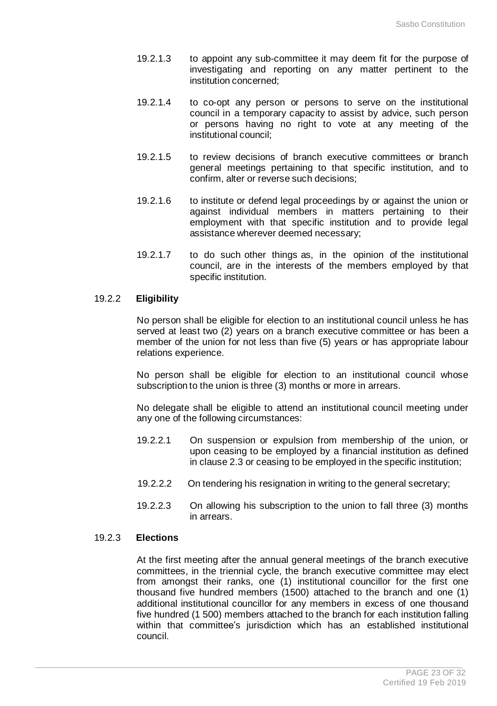- 19.2.1.3 to appoint any sub-committee it may deem fit for the purpose of investigating and reporting on any matter pertinent to the institution concerned;
- 19.2.1.4 to co-opt any person or persons to serve on the institutional council in a temporary capacity to assist by advice, such person or persons having no right to vote at any meeting of the institutional council;
- 19.2.1.5 to review decisions of branch executive committees or branch general meetings pertaining to that specific institution, and to confirm, alter or reverse such decisions;
- 19.2.1.6 to institute or defend legal proceedings by or against the union or against individual members in matters pertaining to their employment with that specific institution and to provide legal assistance wherever deemed necessary;
- 19.2.1.7 to do such other things as, in the opinion of the institutional council, are in the interests of the members employed by that specific institution.

# 19.2.2 **Eligibility**

No person shall be eligible for election to an institutional council unless he has served at least two (2) years on a branch executive committee or has been a member of the union for not less than five (5) years or has appropriate labour relations experience.

No person shall be eligible for election to an institutional council whose subscription to the union is three (3) months or more in arrears.

No delegate shall be eligible to attend an institutional council meeting under any one of the following circumstances:

- 19.2.2.1 On suspension or expulsion from membership of the union, or upon ceasing to be employed by a financial institution as defined in clause 2.3 or ceasing to be employed in the specific institution;
- 19.2.2.2 On tendering his resignation in writing to the general secretary;
- 19.2.2.3 On allowing his subscription to the union to fall three (3) months in arrears.

# 19.2.3 **Elections**

At the first meeting after the annual general meetings of the branch executive committees, in the triennial cycle, the branch executive committee may elect from amongst their ranks, one (1) institutional councillor for the first one thousand five hundred members (1500) attached to the branch and one (1) additional institutional councillor for any members in excess of one thousand five hundred (1 500) members attached to the branch for each institution falling within that committee's jurisdiction which has an established institutional council.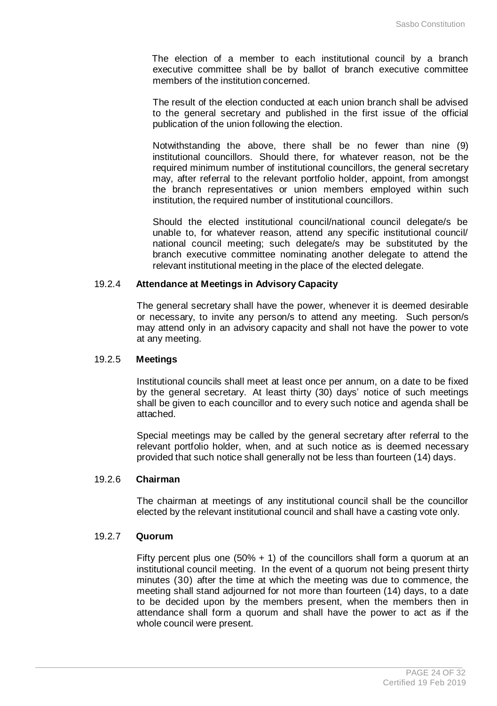The election of a member to each institutional council by a branch executive committee shall be by ballot of branch executive committee members of the institution concerned.

The result of the election conducted at each union branch shall be advised to the general secretary and published in the first issue of the official publication of the union following the election.

Notwithstanding the above, there shall be no fewer than nine (9) institutional councillors. Should there, for whatever reason, not be the required minimum number of institutional councillors, the general secretary may, after referral to the relevant portfolio holder, appoint, from amongst the branch representatives or union members employed within such institution, the required number of institutional councillors.

Should the elected institutional council/national council delegate/s be unable to, for whatever reason, attend any specific institutional council/ national council meeting; such delegate/s may be substituted by the branch executive committee nominating another delegate to attend the relevant institutional meeting in the place of the elected delegate.

# 19.2.4 **Attendance at Meetings in Advisory Capacity**

The general secretary shall have the power, whenever it is deemed desirable or necessary, to invite any person/s to attend any meeting. Such person/s may attend only in an advisory capacity and shall not have the power to vote at any meeting.

### 19.2.5 **Meetings**

Institutional councils shall meet at least once per annum, on a date to be fixed by the general secretary. At least thirty (30) days' notice of such meetings shall be given to each councillor and to every such notice and agenda shall be attached.

Special meetings may be called by the general secretary after referral to the relevant portfolio holder, when, and at such notice as is deemed necessary provided that such notice shall generally not be less than fourteen (14) days.

# 19.2.6 **Chairman**

The chairman at meetings of any institutional council shall be the councillor elected by the relevant institutional council and shall have a casting vote only.

# 19.2.7 **Quorum**

Fifty percent plus one  $(50\% + 1)$  of the councillors shall form a quorum at an institutional council meeting. In the event of a quorum not being present thirty minutes (30) after the time at which the meeting was due to commence, the meeting shall stand adjourned for not more than fourteen (14) days, to a date to be decided upon by the members present, when the members then in attendance shall form a quorum and shall have the power to act as if the whole council were present.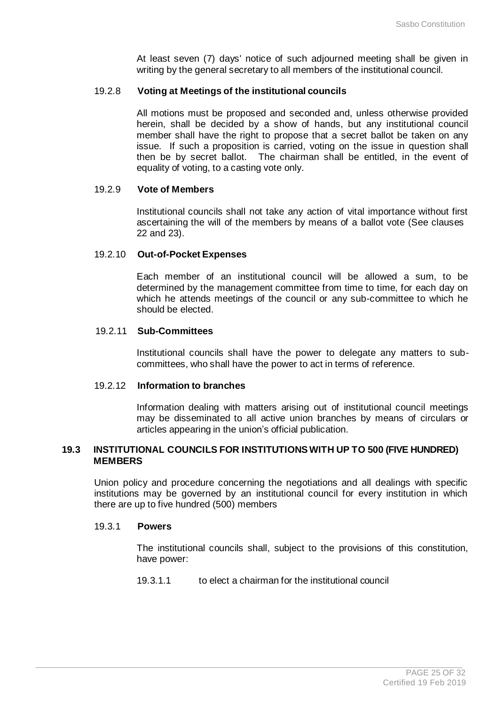At least seven (7) days' notice of such adjourned meeting shall be given in writing by the general secretary to all members of the institutional council.

#### 19.2.8 **Voting at Meetings of the institutional councils**

All motions must be proposed and seconded and, unless otherwise provided herein, shall be decided by a show of hands, but any institutional council member shall have the right to propose that a secret ballot be taken on any issue. If such a proposition is carried, voting on the issue in question shall then be by secret ballot. The chairman shall be entitled, in the event of equality of voting, to a casting vote only.

#### 19.2.9 **Vote of Members**

Institutional councils shall not take any action of vital importance without first ascertaining the will of the members by means of a ballot vote (See clauses 22 and 23).

### 19.2.10 **Out-of-Pocket Expenses**

Each member of an institutional council will be allowed a sum, to be determined by the management committee from time to time, for each day on which he attends meetings of the council or any sub-committee to which he should be elected.

#### 19.2.11 **Sub-Committees**

Institutional councils shall have the power to delegate any matters to subcommittees, who shall have the power to act in terms of reference.

#### 19.2.12 **Information to branches**

Information dealing with matters arising out of institutional council meetings may be disseminated to all active union branches by means of circulars or articles appearing in the union's official publication.

# **19.3 INSTITUTIONAL COUNCILS FOR INSTITUTIONS WITH UP TO 500 (FIVE HUNDRED) MEMBERS**

Union policy and procedure concerning the negotiations and all dealings with specific institutions may be governed by an institutional council for every institution in which there are up to five hundred (500) members

#### 19.3.1 **Powers**

The institutional councils shall, subject to the provisions of this constitution, have power:

19.3.1.1 to elect a chairman for the institutional council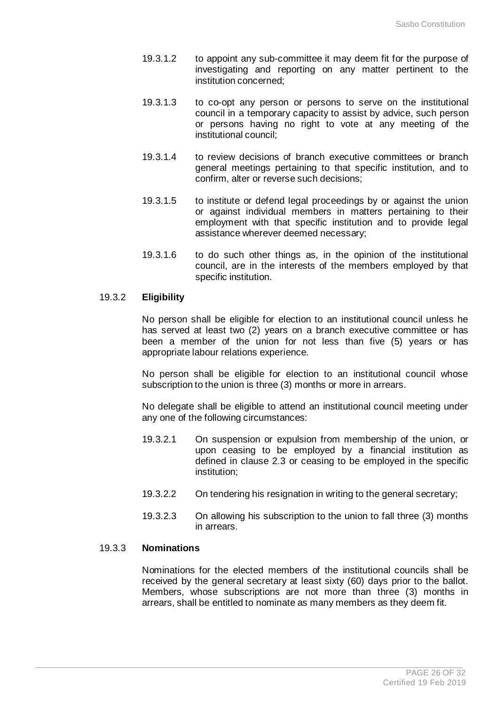- 19.3.1.2 to appoint any sub-committee it may deem fit for the purpose of investigating and reporting on any matter pertinent to the institution concerned;
- 19.3.1.3 to co-opt any person or persons to serve on the institutional council in a temporary capacity to assist by advice, such person or persons having no right to vote at any meeting of the institutional council;
- 19.3.1.4 to review decisions of branch executive committees or branch general meetings pertaining to that specific institution, and to confirm, alter or reverse such decisions;
- 19.3.1.5 to institute or defend legal proceedings by or against the union or against individual members in matters pertaining to their employment with that specific institution and to provide legal assistance wherever deemed necessary;
- 19.3.1.6 to do such other things as, in the opinion of the institutional council, are in the interests of the members employed by that specific institution.

# 19.3.2 **Eligibility**

No person shall be eligible for election to an institutional council unless he has served at least two (2) years on a branch executive committee or has been a member of the union for not less than five (5) years or has appropriate labour relations experience.

No person shall be eligible for election to an institutional council whose subscription to the union is three (3) months or more in arrears.

No delegate shall be eligible to attend an institutional council meeting under any one of the following circumstances:

- 19.3.2.1 On suspension or expulsion from membership of the union, or upon ceasing to be employed by a financial institution as defined in clause 2.3 or ceasing to be employed in the specific institution;
- 19.3.2.2 On tendering his resignation in writing to the general secretary;
- 19.3.2.3 On allowing his subscription to the union to fall three (3) months in arrears.

# 19.3.3 **Nominations**

Nominations for the elected members of the institutional councils shall be received by the general secretary at least sixty (60) days prior to the ballot. Members, whose subscriptions are not more than three (3) months in arrears, shall be entitled to nominate as many members as they deem fit.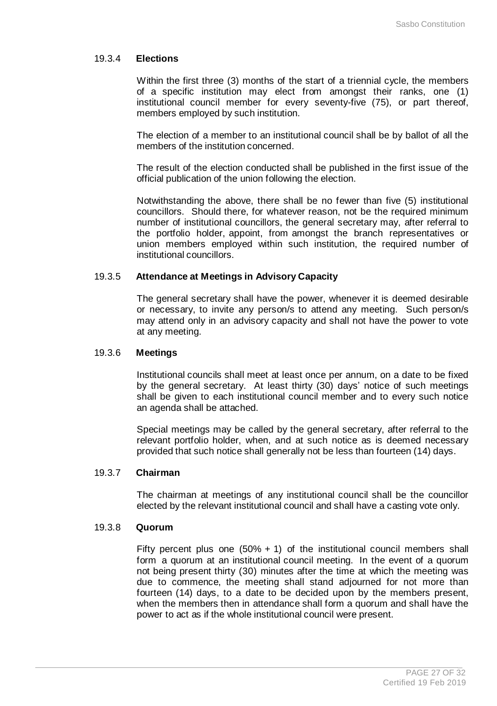# 19.3.4 **Elections**

Within the first three (3) months of the start of a triennial cycle, the members of a specific institution may elect from amongst their ranks, one (1) institutional council member for every seventy-five (75), or part thereof, members employed by such institution.

The election of a member to an institutional council shall be by ballot of all the members of the institution concerned.

The result of the election conducted shall be published in the first issue of the official publication of the union following the election.

Notwithstanding the above, there shall be no fewer than five (5) institutional councillors. Should there, for whatever reason, not be the required minimum number of institutional councillors, the general secretary may, after referral to the portfolio holder, appoint, from amongst the branch representatives or union members employed within such institution, the required number of institutional councillors.

# 19.3.5 **Attendance at Meetings in Advisory Capacity**

The general secretary shall have the power, whenever it is deemed desirable or necessary, to invite any person/s to attend any meeting. Such person/s may attend only in an advisory capacity and shall not have the power to vote at any meeting.

#### 19.3.6 **Meetings**

Institutional councils shall meet at least once per annum, on a date to be fixed by the general secretary. At least thirty (30) days' notice of such meetings shall be given to each institutional council member and to every such notice an agenda shall be attached.

Special meetings may be called by the general secretary, after referral to the relevant portfolio holder, when, and at such notice as is deemed necessary provided that such notice shall generally not be less than fourteen (14) days.

# 19.3.7 **Chairman**

The chairman at meetings of any institutional council shall be the councillor elected by the relevant institutional council and shall have a casting vote only.

#### 19.3.8 **Quorum**

Fifty percent plus one  $(50\% + 1)$  of the institutional council members shall form a quorum at an institutional council meeting. In the event of a quorum not being present thirty (30) minutes after the time at which the meeting was due to commence, the meeting shall stand adjourned for not more than fourteen (14) days, to a date to be decided upon by the members present, when the members then in attendance shall form a quorum and shall have the power to act as if the whole institutional council were present.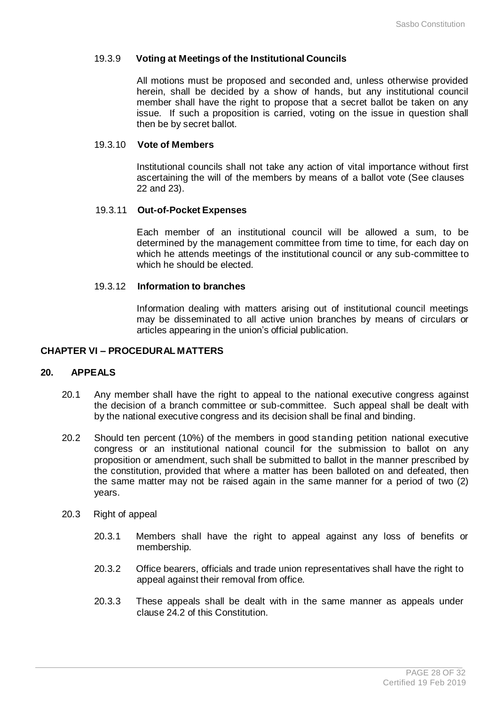#### 19.3.9 **Voting at Meetings of the Institutional Councils**

All motions must be proposed and seconded and, unless otherwise provided herein, shall be decided by a show of hands, but any institutional council member shall have the right to propose that a secret ballot be taken on any issue. If such a proposition is carried, voting on the issue in question shall then be by secret ballot.

#### 19.3.10 **Vote of Members**

Institutional councils shall not take any action of vital importance without first ascertaining the will of the members by means of a ballot vote (See clauses 22 and 23).

#### 19.3.11 **Out-of-Pocket Expenses**

Each member of an institutional council will be allowed a sum, to be determined by the management committee from time to time, for each day on which he attends meetings of the institutional council or any sub-committee to which he should be elected.

#### 19.3.12 **Information to branches**

Information dealing with matters arising out of institutional council meetings may be disseminated to all active union branches by means of circulars or articles appearing in the union's official publication.

# **CHAPTER VI – PROCEDURAL MATTERS**

#### **20. APPEALS**

- 20.1 Any member shall have the right to appeal to the national executive congress against the decision of a branch committee or sub-committee. Such appeal shall be dealt with by the national executive congress and its decision shall be final and binding.
- 20.2 Should ten percent (10%) of the members in good standing petition national executive congress or an institutional national council for the submission to ballot on any proposition or amendment, such shall be submitted to ballot in the manner prescribed by the constitution, provided that where a matter has been balloted on and defeated, then the same matter may not be raised again in the same manner for a period of two (2) years.
- 20.3 Right of appeal
	- 20.3.1 Members shall have the right to appeal against any loss of benefits or membership*.*
	- 20.3.2 Office bearers, officials and trade union representatives shall have the right to appeal against their removal from office.
	- 20.3.3 These appeals shall be dealt with in the same manner as appeals under clause 24.2 of this Constitution.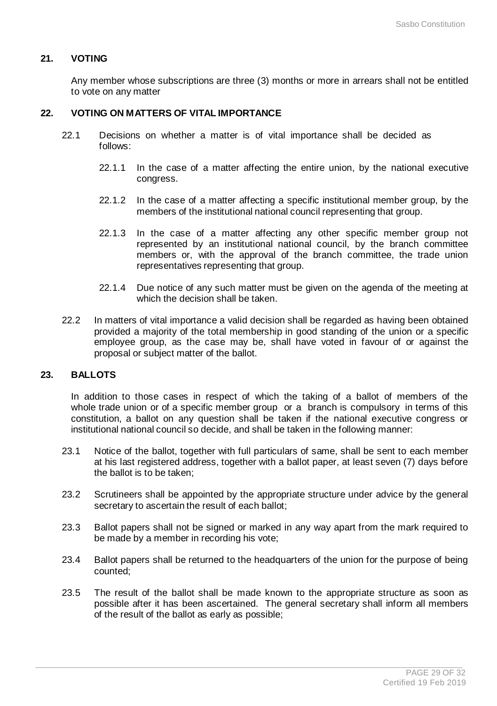# **21. VOTING**

Any member whose subscriptions are three (3) months or more in arrears shall not be entitled to vote on any matter

# **22. VOTING ON MATTERS OF VITAL IMPORTANCE**

- 22.1 Decisions on whether a matter is of vital importance shall be decided as follows:
	- 22.1.1 In the case of a matter affecting the entire union, by the national executive congress.
	- 22.1.2 In the case of a matter affecting a specific institutional member group, by the members of the institutional national council representing that group.
	- 22.1.3 In the case of a matter affecting any other specific member group not represented by an institutional national council, by the branch committee members or, with the approval of the branch committee, the trade union representatives representing that group.
	- 22.1.4 Due notice of any such matter must be given on the agenda of the meeting at which the decision shall be taken.
- 22.2 In matters of vital importance a valid decision shall be regarded as having been obtained provided a majority of the total membership in good standing of the union or a specific employee group, as the case may be, shall have voted in favour of or against the proposal or subject matter of the ballot.

#### **23. BALLOTS**

In addition to those cases in respect of which the taking of a ballot of members of the whole trade union or of a specific member group or a branch is compulsory in terms of this constitution, a ballot on any question shall be taken if the national executive congress or institutional national council so decide, and shall be taken in the following manner:

- 23.1 Notice of the ballot, together with full particulars of same, shall be sent to each member at his last registered address, together with a ballot paper, at least seven (7) days before the ballot is to be taken;
- 23.2 Scrutineers shall be appointed by the appropriate structure under advice by the general secretary to ascertain the result of each ballot;
- 23.3 Ballot papers shall not be signed or marked in any way apart from the mark required to be made by a member in recording his vote;
- 23.4 Ballot papers shall be returned to the headquarters of the union for the purpose of being counted;
- 23.5 The result of the ballot shall be made known to the appropriate structure as soon as possible after it has been ascertained. The general secretary shall inform all members of the result of the ballot as early as possible;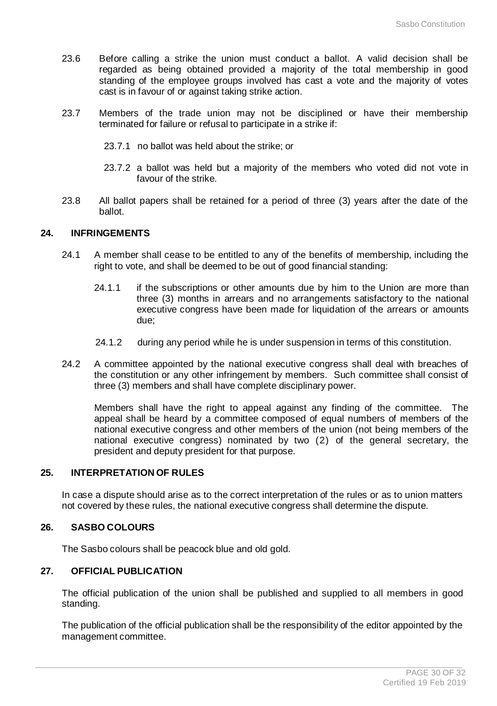- 23.6 Before calling a strike the union must conduct a ballot. A valid decision shall be regarded as being obtained provided a majority of the total membership in good standing of the employee groups involved has cast a vote and the majority of votes cast is in favour of or against taking strike action.
- 23.7 Members of the trade union may not be disciplined or have their membership terminated for failure or refusal to participate in a strike if:
	- 23.7.1 no ballot was held about the strike; or
	- 23.7.2 a ballot was held but a majority of the members who voted did not vote in favour of the strike.
- 23.8 All ballot papers shall be retained for a period of three (3) years after the date of the ballot.

# **24. INFRINGEMENTS**

- 24.1 A member shall cease to be entitled to any of the benefits of membership, including the right to vote, and shall be deemed to be out of good financial standing:
	- 24.1.1 if the subscriptions or other amounts due by him to the Union are more than three (3) months in arrears and no arrangements satisfactory to the national executive congress have been made for liquidation of the arrears or amounts due;
	- 24.1.2 during any period while he is under suspension in terms of this constitution.
- 24.2 A committee appointed by the national executive congress shall deal with breaches of the constitution or any other infringement by members. Such committee shall consist of three (3) members and shall have complete disciplinary power.

Members shall have the right to appeal against any finding of the committee. The appeal shall be heard by a committee composed of equal numbers of members of the national executive congress and other members of the union (not being members of the national executive congress) nominated by two (2) of the general secretary, the president and deputy president for that purpose.

# **25. INTERPRETATION OF RULES**

In case a dispute should arise as to the correct interpretation of the rules or as to union matters not covered by these rules, the national executive congress shall determine the dispute.

# **26. SASBO COLOURS**

The Sasbo colours shall be peacock blue and old gold.

# **27. OFFICIAL PUBLICATION**

The official publication of the union shall be published and supplied to all members in good standing.

The publication of the official publication shall be the responsibility of the editor appointed by the management committee.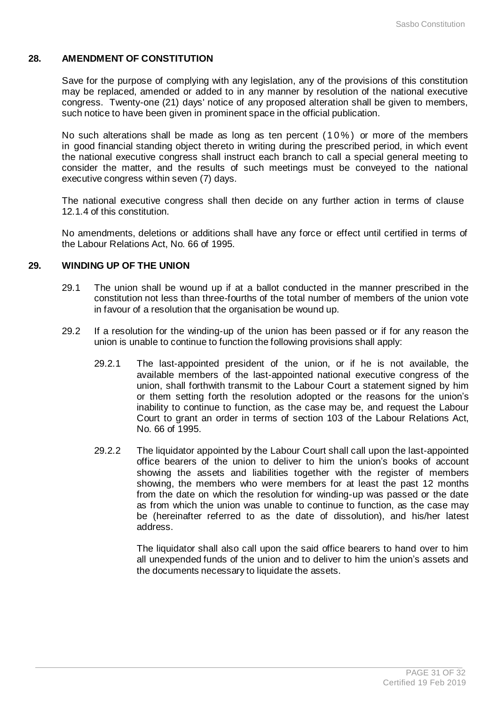# **28. AMENDMENT OF CONSTITUTION**

Save for the purpose of complying with any legislation, any of the provisions of this constitution may be replaced, amended or added to in any manner by resolution of the national executive congress. Twenty-one (21) days' notice of any proposed alteration shall be given to members, such notice to have been given in prominent space in the official publication.

No such alterations shall be made as long as ten percent (10%) or more of the members in good financial standing object thereto in writing during the prescribed period, in which event the national executive congress shall instruct each branch to call a special general meeting to consider the matter, and the results of such meetings must be conveyed to the national executive congress within seven (7) days.

The national executive congress shall then decide on any further action in terms of clause 12.1.4 of this constitution.

No amendments, deletions or additions shall have any force or effect until certified in terms of the Labour Relations Act, No. 66 of 1995.

# **29. WINDING UP OF THE UNION**

- 29.1 The union shall be wound up if at a ballot conducted in the manner prescribed in the constitution not less than three-fourths of the total number of members of the union vote in favour of a resolution that the organisation be wound up.
- 29.2 If a resolution for the winding-up of the union has been passed or if for any reason the union is unable to continue to function the following provisions shall apply:
	- 29.2.1 The last-appointed president of the union, or if he is not available, the available members of the last-appointed national executive congress of the union, shall forthwith transmit to the Labour Court a statement signed by him or them setting forth the resolution adopted or the reasons for the union's inability to continue to function, as the case may be, and request the Labour Court to grant an order in terms of section 103 of the Labour Relations Act, No. 66 of 1995.
	- 29.2.2 The liquidator appointed by the Labour Court shall call upon the last-appointed office bearers of the union to deliver to him the union's books of account showing the assets and liabilities together with the register of members showing, the members who were members for at least the past 12 months from the date on which the resolution for winding-up was passed or the date as from which the union was unable to continue to function, as the case may be (hereinafter referred to as the date of dissolution), and his/her latest address.

The liquidator shall also call upon the said office bearers to hand over to him all unexpended funds of the union and to deliver to him the union's assets and the documents necessary to liquidate the assets.